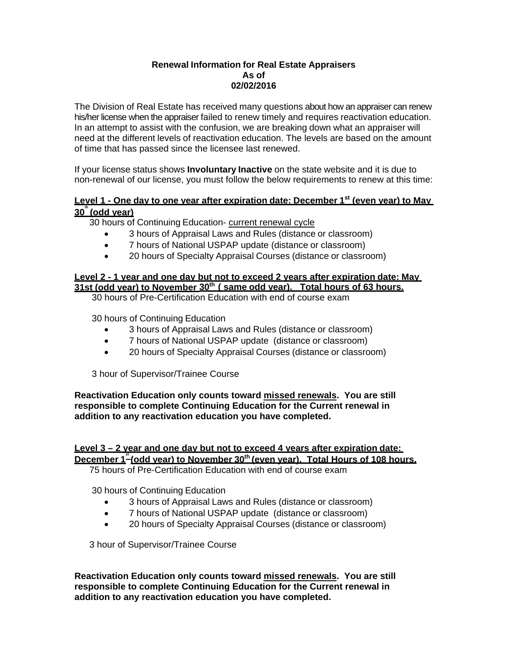## **Renewal Information for Real Estate Appraisers As of 02/02/2016**

The Division of Real Estate has received many questions about how an appraiser can renew his/her license when the appraiser failed to renew timely and requires reactivation education. In an attempt to assist with the confusion, we are breaking down what an appraiser will need at the different levels of reactivation education. The levels are based on the amount of time that has passed since the licensee last renewed.

If your license status shows **Involuntary Inactive** on the state website and it is due to non-renewal of our license, you must follow the below requirements to renew at this time:

## **Level 1 - One day to one year after expiration date: December 1st (even year) to May 30th (odd year)**

30 hours of Continuing Education- current renewal cycle

- 3 hours of Appraisal Laws and Rules (distance or classroom)
- 7 hours of National USPAP update (distance or classroom)
- 20 hours of Specialty Appraisal Courses (distance or classroom)

## **Level 2 - 1 year and one day but not to exceed 2 years after expiration date: May 31st (odd year) to November 30th ( same odd year). Total hours of 63 hours.**

30 hours of Pre-Certification Education with end of course exam

30 hours of Continuing Education

- 3 hours of Appraisal Laws and Rules (distance or classroom)
- 7 hours of National USPAP update (distance or classroom)
- 20 hours of Specialty Appraisal Courses (distance or classroom)

3 hour of Supervisor/Trainee Course

**Reactivation Education only counts toward missed renewals. You are still responsible to complete Continuing Education for the Current renewal in addition to any reactivation education you have completed.** 

## **Level 3 – 2 year and one day but not to exceed 4 years after expiration date:**  December 1<sup>st</sup> (odd year) to November 30<sup>th</sup> (even year). Total Hours of 108 hours. 75 hours of Pre-Certification Education with end of course exam

30 hours of Continuing Education

- 3 hours of Appraisal Laws and Rules (distance or classroom)
- 7 hours of National USPAP update (distance or classroom)
- 20 hours of Specialty Appraisal Courses (distance or classroom)

3 hour of Supervisor/Trainee Course

**Reactivation Education only counts toward missed renewals. You are still responsible to complete Continuing Education for the Current renewal in addition to any reactivation education you have completed.**